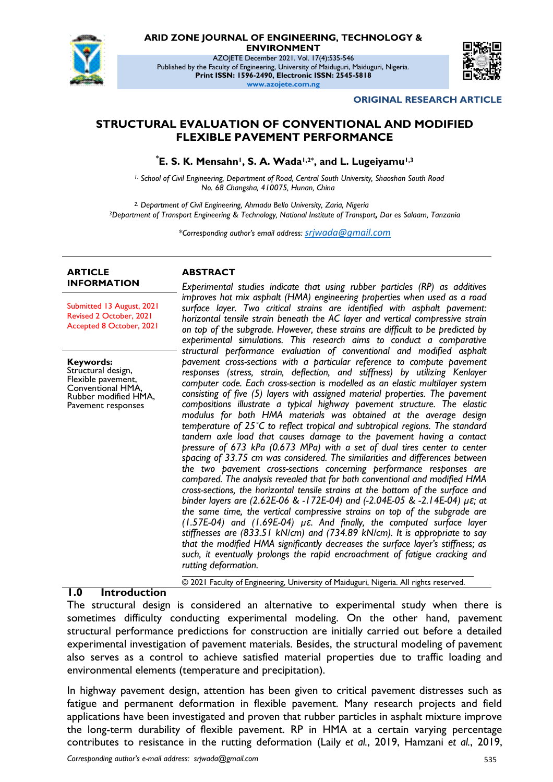

**ARID ZONE JOURNAL OF ENGINEERING, TECHNOLOGY &** 

**ENVIRONMENT**

AZOJETE December 2021. Vol. 17(4):535-546 Published by the Faculty of Engineering, University of Maiduguri, Maiduguri, Nigeria. **Print ISSN: 1596-2490, Electronic ISSN: 2545-5818 www.azojete.com.ng**



**ORIGINAL RESEARCH ARTICLE**

## **STRUCTURAL EVALUATION OF CONVENTIONAL AND MODIFIED FLEXIBLE PAVEMENT PERFORMANCE**

**\*E. S. K. Mensahn1, S. A. Wada1,2\* , and L. Lugeiyamu1,3**

*1. School of Civil Engineering, Department of Road, Central South University, Shaoshan South Road No. 68 Changsha, 410075, Hunan, China*

*2. Department of Civil Engineering, Ahmadu Bello University, Zaria, Nigeria <sup>3</sup>Department of Transport Engineering & Technology, National Institute of Transport, Dar es Salaam, Tanzania*

*\*Corresponding author's email address: srjwada@gmail.com*

#### **ARTICLE INFORMATION**

Submitted 13 August, 2021 Revised 2 October, 2021 Accepted 8 October, 2021

**Keywords:** Structural design, Flexible pavement, Conventional HMA, Rubber modified HMA, Pavement responses

#### **ABSTRACT**

*Experimental studies indicate that using rubber particles (RP) as additives improves hot mix asphalt (HMA) engineering properties when used as a road surface layer. Two critical strains are identified with asphalt pavement: horizontal tensile strain beneath the AC layer and vertical compressive strain on top of the subgrade. However, these strains are difficult to be predicted by experimental simulations. This research aims to conduct a comparative structural performance evaluation of conventional and modified asphalt pavement cross-sections with a particular reference to compute pavement responses (stress, strain, deflection, and stiffness) by utilizing Kenlayer computer code. Each cross-section is modelled as an elastic multilayer system consisting of five (5) layers with assigned material properties. The pavement compositions illustrate a typical highway pavement structure. The elastic modulus for both HMA materials was obtained at the average design temperature of 25˚C to reflect tropical and subtropical regions. The standard tandem axle load that causes damage to the pavement having a contact pressure of 673 kPa (0.673 MPa) with a set of dual tires center to center spacing of 33.75 cm was considered. The similarities and differences between the two pavement cross-sections concerning performance responses are compared. The analysis revealed that for both conventional and modified HMA cross-sections, the horizontal tensile strains at the bottom of the surface and binder layers are (2.62E-06 & -172E-04) and (-2.04E-05 & -2.14E-04) µε; at the same time, the vertical compressive strains on top of the subgrade are (1.57E-04) and (1.69E-04) µε. And finally, the computed surface layer stiffnesses are (833.51 kN/cm) and (734.89 kN/cm). It is appropriate to say that the modified HMA significantly decreases the surface layer's stiffness; as such, it eventually prolongs the rapid encroachment of fatigue cracking and rutting deformation.*

#### **1.0 Introduction**

© 2021 Faculty of Engineering, University of Maiduguri, Nigeria. All rights reserved.

The structural design is considered an alternative to experimental study when there is sometimes difficulty conducting experimental modeling. On the other hand, pavement structural performance predictions for construction are initially carried out before a detailed experimental investigation of pavement materials. Besides, the structural modeling of pavement also serves as a control to achieve satisfied material properties due to traffic loading and environmental elements (temperature and precipitation).

In highway pavement design, attention has been given to critical pavement distresses such as fatigue and permanent deformation in flexible pavement. Many research projects and field applications have been investigated and proven that rubber particles in asphalt mixture improve the long-term durability of flexible pavement. RP in HMA at a certain varying percentage contributes to resistance in the rutting deformation (Laily *et al.*, 2019, Hamzani *et al.*, 2019,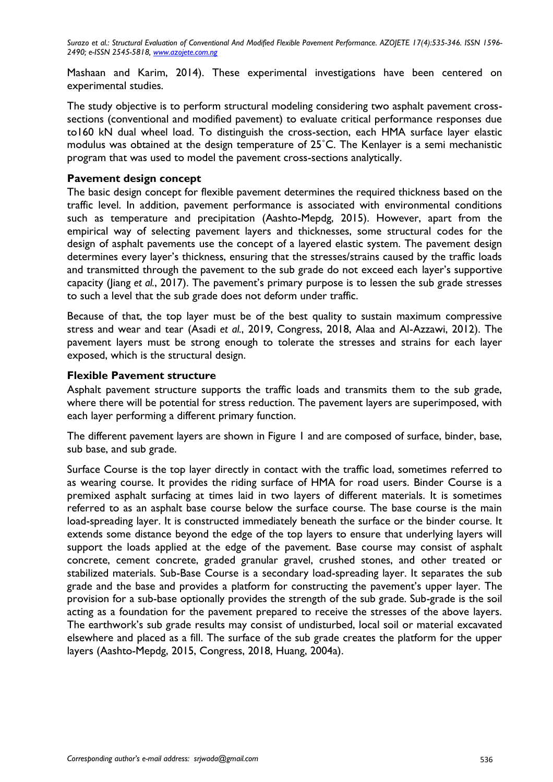Mashaan and Karim, 2014). These experimental investigations have been centered on experimental studies.

The study objective is to perform structural modeling considering two asphalt pavement crosssections (conventional and modified pavement) to evaluate critical performance responses due to160 kN dual wheel load. To distinguish the cross-section, each HMA surface layer elastic modulus was obtained at the design temperature of 25˚C. The Kenlayer is a semi mechanistic program that was used to model the pavement cross-sections analytically.

#### **Pavement design concept**

The basic design concept for flexible pavement determines the required thickness based on the traffic level. In addition, pavement performance is associated with environmental conditions such as temperature and precipitation (Aashto-Mepdg, 2015). However, apart from the empirical way of selecting pavement layers and thicknesses, some structural codes for the design of asphalt pavements use the concept of a layered elastic system. The pavement design determines every layer's thickness, ensuring that the stresses/strains caused by the traffic loads and transmitted through the pavement to the sub grade do not exceed each layer's supportive capacity (Jiang *et al.*, 2017). The pavement's primary purpose is to lessen the sub grade stresses to such a level that the sub grade does not deform under traffic.

Because of that, the top layer must be of the best quality to sustain maximum compressive stress and wear and tear (Asadi *et al.*, 2019, Congress, 2018, Alaa and Al-Azzawi, 2012). The pavement layers must be strong enough to tolerate the stresses and strains for each layer exposed, which is the structural design.

#### **Flexible Pavement structure**

Asphalt pavement structure supports the traffic loads and transmits them to the sub grade, where there will be potential for stress reduction. The pavement layers are superimposed, with each layer performing a different primary function.

The different pavement layers are shown in Figure 1 and are composed of surface, binder, base, sub base, and sub grade.

Surface Course is the top layer directly in contact with the traffic load, sometimes referred to as wearing course. It provides the riding surface of HMA for road users. Binder Course is a premixed asphalt surfacing at times laid in two layers of different materials. It is sometimes referred to as an asphalt base course below the surface course. The base course is the main load-spreading layer. It is constructed immediately beneath the surface or the binder course. It extends some distance beyond the edge of the top layers to ensure that underlying layers will support the loads applied at the edge of the pavement. Base course may consist of asphalt concrete, cement concrete, graded granular gravel, crushed stones, and other treated or stabilized materials. Sub-Base Course is a secondary load-spreading layer. It separates the sub grade and the base and provides a platform for constructing the pavement's upper layer. The provision for a sub-base optionally provides the strength of the sub grade. Sub-grade is the soil acting as a foundation for the pavement prepared to receive the stresses of the above layers. The earthwork's sub grade results may consist of undisturbed, local soil or material excavated elsewhere and placed as a fill. The surface of the sub grade creates the platform for the upper layers (Aashto-Mepdg, 2015, Congress, 2018, Huang, 2004a).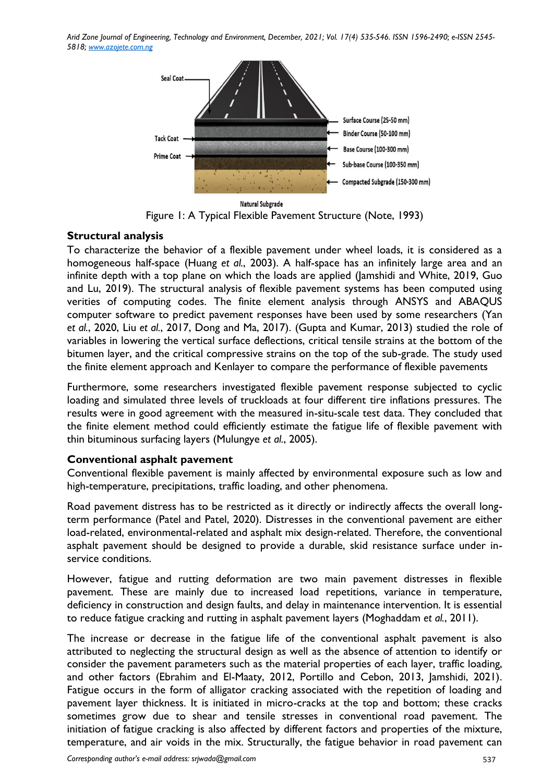

Figure 1: A Typical Flexible Pavement Structure (Note, 1993)

### **Structural analysis**

To characterize the behavior of a flexible pavement under wheel loads, it is considered as a homogeneous half-space (Huang *et al.*, 2003). A half-space has an infinitely large area and an infinite depth with a top plane on which the loads are applied (Jamshidi and White, 2019, Guo and Lu, 2019). The structural analysis of flexible pavement systems has been computed using verities of computing codes. The finite element analysis through ANSYS and ABAQUS computer software to predict pavement responses have been used by some researchers (Yan *et al.*, 2020, Liu *et al.*, 2017, Dong and Ma, 2017). (Gupta and Kumar, 2013) studied the role of variables in lowering the vertical surface deflections, critical tensile strains at the bottom of the bitumen layer, and the critical compressive strains on the top of the sub-grade. The study used the finite element approach and Kenlayer to compare the performance of flexible pavements

Furthermore, some researchers investigated flexible pavement response subjected to cyclic loading and simulated three levels of truckloads at four different tire inflations pressures. The results were in good agreement with the measured in-situ-scale test data. They concluded that the finite element method could efficiently estimate the fatigue life of flexible pavement with thin bituminous surfacing layers (Mulungye *et al.*, 2005).

### **Conventional asphalt pavement**

Conventional flexible pavement is mainly affected by environmental exposure such as low and high-temperature, precipitations, traffic loading, and other phenomena.

Road pavement distress has to be restricted as it directly or indirectly affects the overall longterm performance (Patel and Patel, 2020). Distresses in the conventional pavement are either load-related, environmental-related and asphalt mix design-related. Therefore, the conventional asphalt pavement should be designed to provide a durable, skid resistance surface under inservice conditions.

However, fatigue and rutting deformation are two main pavement distresses in flexible pavement. These are mainly due to increased load repetitions, variance in temperature, deficiency in construction and design faults, and delay in maintenance intervention. It is essential to reduce fatigue cracking and rutting in asphalt pavement layers (Moghaddam *et al.*, 2011).

The increase or decrease in the fatigue life of the conventional asphalt pavement is also attributed to neglecting the structural design as well as the absence of attention to identify or consider the pavement parameters such as the material properties of each layer, traffic loading, and other factors (Ebrahim and El-Maaty, 2012, Portillo and Cebon, 2013, Jamshidi, 2021). Fatigue occurs in the form of alligator cracking associated with the repetition of loading and pavement layer thickness. It is initiated in micro-cracks at the top and bottom; these cracks sometimes grow due to shear and tensile stresses in conventional road pavement. The initiation of fatigue cracking is also affected by different factors and properties of the mixture, temperature, and air voids in the mix. Structurally, the fatigue behavior in road pavement can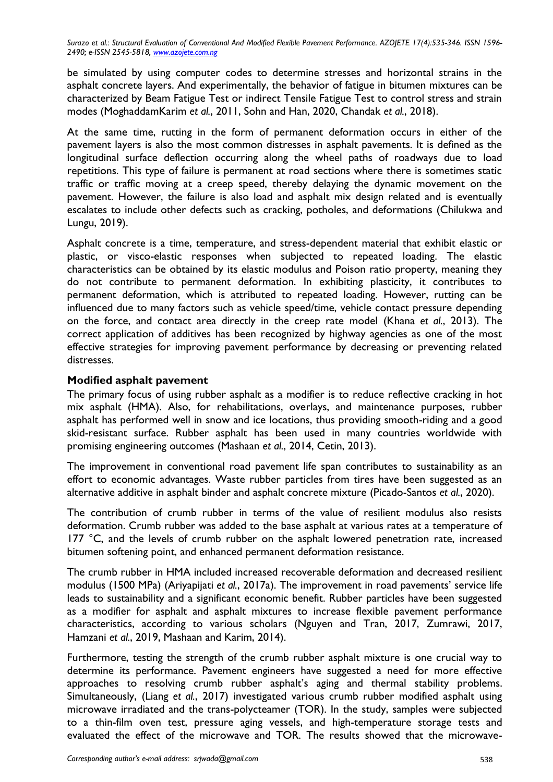be simulated by using computer codes to determine stresses and horizontal strains in the asphalt concrete layers. And experimentally, the behavior of fatigue in bitumen mixtures can be characterized by Beam Fatigue Test or indirect Tensile Fatigue Test to control stress and strain modes (MoghaddamKarim *et al.*, 2011, Sohn and Han, 2020, Chandak *et al.*, 2018).

At the same time, rutting in the form of permanent deformation occurs in either of the pavement layers is also the most common distresses in asphalt pavements. It is defined as the longitudinal surface deflection occurring along the wheel paths of roadways due to load repetitions. This type of failure is permanent at road sections where there is sometimes static traffic or traffic moving at a creep speed, thereby delaying the dynamic movement on the pavement. However, the failure is also load and asphalt mix design related and is eventually escalates to include other defects such as cracking, potholes, and deformations (Chilukwa and Lungu, 2019).

Asphalt concrete is a time, temperature, and stress-dependent material that exhibit elastic or plastic, or visco-elastic responses when subjected to repeated loading. The elastic characteristics can be obtained by its elastic modulus and Poison ratio property, meaning they do not contribute to permanent deformation. In exhibiting plasticity, it contributes to permanent deformation, which is attributed to repeated loading. However, rutting can be influenced due to many factors such as vehicle speed/time, vehicle contact pressure depending on the force, and contact area directly in the creep rate model (Khana *et al.*, 2013). The correct application of additives has been recognized by highway agencies as one of the most effective strategies for improving pavement performance by decreasing or preventing related distresses.

#### **Modified asphalt pavement**

The primary focus of using rubber asphalt as a modifier is to reduce reflective cracking in hot mix asphalt (HMA). Also, for rehabilitations, overlays, and maintenance purposes, rubber asphalt has performed well in snow and ice locations, thus providing smooth-riding and a good skid-resistant surface. Rubber asphalt has been used in many countries worldwide with promising engineering outcomes (Mashaan *et al.*, 2014, Cetin, 2013).

The improvement in conventional road pavement life span contributes to sustainability as an effort to economic advantages. Waste rubber particles from tires have been suggested as an alternative additive in asphalt binder and asphalt concrete mixture (Picado-Santos *et al.*, 2020).

The contribution of crumb rubber in terms of the value of resilient modulus also resists deformation. Crumb rubber was added to the base asphalt at various rates at a temperature of 177 °C, and the levels of crumb rubber on the asphalt lowered penetration rate, increased bitumen softening point, and enhanced permanent deformation resistance.

The crumb rubber in HMA included increased recoverable deformation and decreased resilient modulus (1500 MPa) (Ariyapijati *et al.*, 2017a). The improvement in road pavements' service life leads to sustainability and a significant economic benefit. Rubber particles have been suggested as a modifier for asphalt and asphalt mixtures to increase flexible pavement performance characteristics, according to various scholars (Nguyen and Tran, 2017, Zumrawi, 2017, Hamzani *et al.*, 2019, Mashaan and Karim, 2014).

Furthermore, testing the strength of the crumb rubber asphalt mixture is one crucial way to determine its performance. Pavement engineers have suggested a need for more effective approaches to resolving crumb rubber asphalt's aging and thermal stability problems. Simultaneously, (Liang *et al.*, 2017) investigated various crumb rubber modified asphalt using microwave irradiated and the trans-polycteamer (TOR). In the study, samples were subjected to a thin-film oven test, pressure aging vessels, and high-temperature storage tests and evaluated the effect of the microwave and TOR. The results showed that the microwave-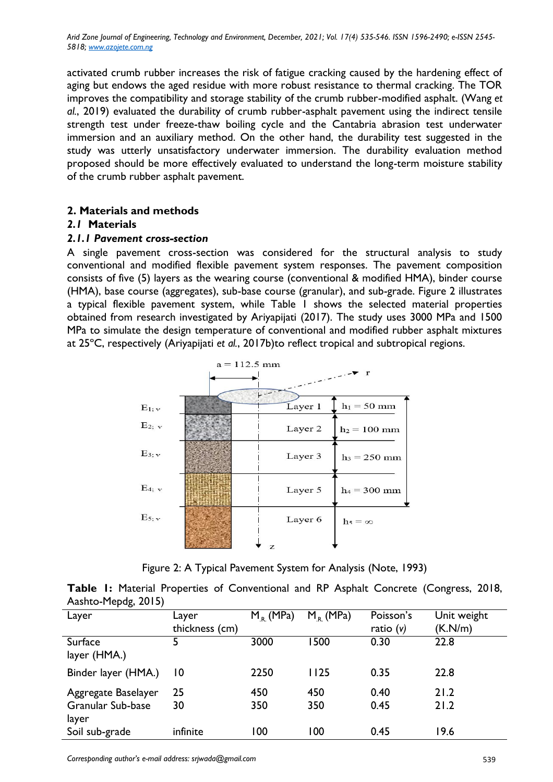activated crumb rubber increases the risk of fatigue cracking caused by the hardening effect of aging but endows the aged residue with more robust resistance to thermal cracking. The TOR improves the compatibility and storage stability of the crumb rubber-modified asphalt. (Wang *et al.*, 2019) evaluated the durability of crumb rubber-asphalt pavement using the indirect tensile strength test under freeze-thaw boiling cycle and the Cantabria abrasion test underwater immersion and an auxiliary method. On the other hand, the durability test suggested in the study was utterly unsatisfactory underwater immersion. The durability evaluation method proposed should be more effectively evaluated to understand the long-term moisture stability of the crumb rubber asphalt pavement.

#### **2. Materials and methods**

#### *2.1* **Materials**

#### *2.1.1 Pavement cross-section*

A single pavement cross-section was considered for the structural analysis to study conventional and modified flexible pavement system responses. The pavement composition consists of five (5) layers as the wearing course (conventional & modified HMA), binder course (HMA), base course (aggregates), sub-base course (granular), and sub-grade. Figure 2 illustrates a typical flexible pavement system, while Table 1 shows the selected material properties obtained from research investigated by Ariyapijati (2017). The study uses 3000 MPa and 1500 MPa to simulate the design temperature of conventional and modified rubber asphalt mixtures at 25ºC, respectively (Ariyapijati *et al.*, 2017b)to reflect tropical and subtropical regions.



Figure 2: A Typical Pavement System for Analysis (Note, 1993)

|  |                     |  | Table I: Material Properties of Conventional and RP Asphalt Concrete (Congress, 2018, |  |  |  |
|--|---------------------|--|---------------------------------------------------------------------------------------|--|--|--|
|  | Aashto-Mepdg, 2015) |  |                                                                                       |  |  |  |

| Layer                             | Layer          | $M_R$ (MPa) | $M_R$ (MPa) | Poisson's   | Unit weight |
|-----------------------------------|----------------|-------------|-------------|-------------|-------------|
|                                   | thickness (cm) |             |             | ratio $(v)$ | (K.N/m)     |
| Surface<br>layer (HMA.)           | 5              | 3000        | 1500        | 0.30        | 22.8        |
| Binder layer (HMA.)               | 10             | 2250        | <b>II25</b> | 0.35        | 22.8        |
| Aggregate Baselayer               | 25             | 450         | 450         | 0.40        | 21.2        |
| <b>Granular Sub-base</b><br>layer | 30             | 350         | 350         | 0.45        | 21.2        |
| Soil sub-grade                    | infinite       | 100         | 100         | 0.45        | 19.6        |

*Corresponding author's e-mail address: srjwada@gmail.com* 539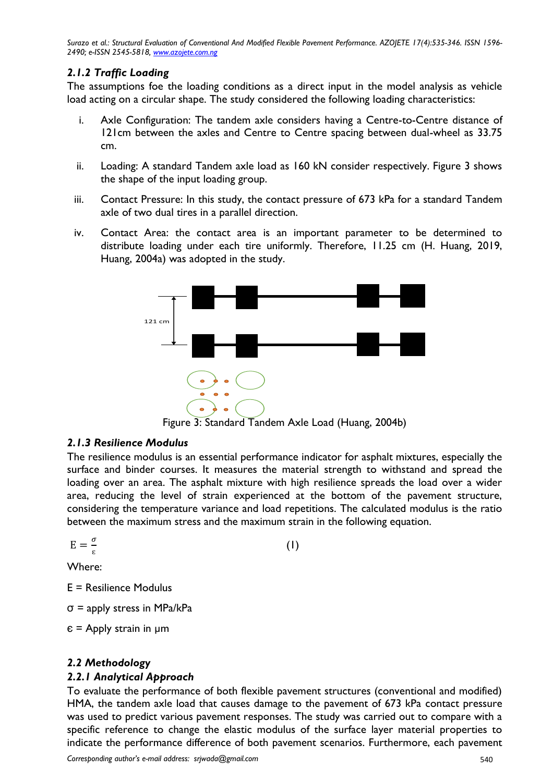## *2.1.2 Traffic Loading*

The assumptions foe the loading conditions as a direct input in the model analysis as vehicle load acting on a circular shape. The study considered the following loading characteristics:

- i. Axle Configuration: The tandem axle considers having a Centre-to-Centre distance of 121cm between the axles and Centre to Centre spacing between dual-wheel as 33.75 cm.
- ii. Loading: A standard Tandem axle load as 160 kN consider respectively. Figure 3 shows the shape of the input loading group.
- iii. Contact Pressure: In this study, the contact pressure of 673 kPa for a standard Tandem axle of two dual tires in a parallel direction.
- iv. Contact Area: the contact area is an important parameter to be determined to distribute loading under each tire uniformly. Therefore, 11.25 cm (H. Huang, 2019, Huang, 2004a) was adopted in the study.



Figure 3: Standard Tandem Axle Load (Huang, 2004b)

### *2.1.3 Resilience Modulus*

The resilience modulus is an essential performance indicator for asphalt mixtures, especially the surface and binder courses. It measures the material strength to withstand and spread the loading over an area. The asphalt mixture with high resilience spreads the load over a wider area, reducing the level of strain experienced at the bottom of the pavement structure, considering the temperature variance and load repetitions. The calculated modulus is the ratio between the maximum stress and the maximum strain in the following equation.

$$
E = \frac{\sigma}{s} \tag{1}
$$

Where:

E = Resilience Modulus

σ = apply stress in MPa/kPa

 $\varepsilon$  = Apply strain in  $\mu$ m

### *2.2 Methodology*

### *2.2.1 Analytical Approach*

To evaluate the performance of both flexible pavement structures (conventional and modified) HMA, the tandem axle load that causes damage to the pavement of 673 kPa contact pressure was used to predict various pavement responses. The study was carried out to compare with a specific reference to change the elastic modulus of the surface layer material properties to indicate the performance difference of both pavement scenarios. Furthermore, each pavement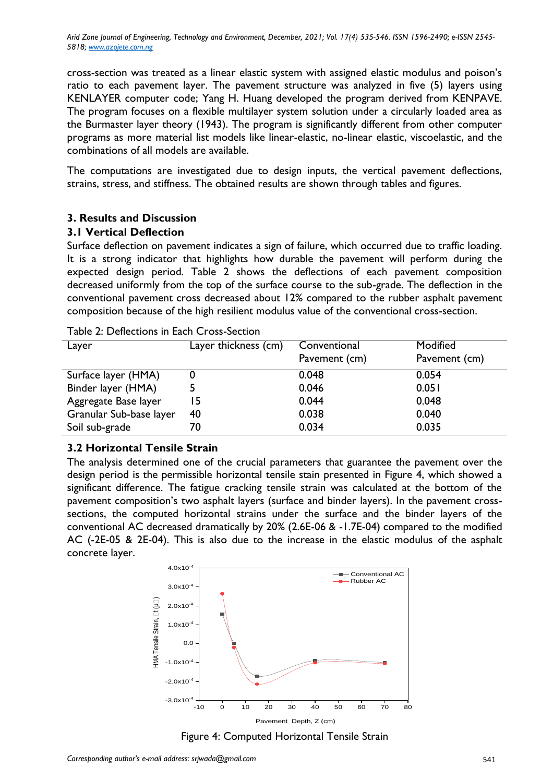cross-section was treated as a linear elastic system with assigned elastic modulus and poison's ratio to each pavement layer. The pavement structure was analyzed in five (5) layers using KENLAYER computer code; Yang H. Huang developed the program derived from KENPAVE. The program focuses on a flexible multilayer system solution under a circularly loaded area as the Burmaster layer theory (1943). The program is significantly different from other computer programs as more material list models like linear-elastic, no-linear elastic, viscoelastic, and the combinations of all models are available.

The computations are investigated due to design inputs, the vertical pavement deflections, strains, stress, and stiffness. The obtained results are shown through tables and figures.

### **3. Results and Discussion**

### **3.1 Vertical Deflection**

Surface deflection on pavement indicates a sign of failure, which occurred due to traffic loading. It is a strong indicator that highlights how durable the pavement will perform during the expected design period. Table 2 shows the deflections of each pavement composition decreased uniformly from the top of the surface course to the sub-grade. The deflection in the conventional pavement cross decreased about 12% compared to the rubber asphalt pavement composition because of the high resilient modulus value of the conventional cross-section.

| Layer                   | Layer thickness (cm) | Conventional<br>Pavement (cm) | Modified<br>Pavement (cm) |
|-------------------------|----------------------|-------------------------------|---------------------------|
| Surface layer (HMA)     |                      | 0.048                         | 0.054                     |
| Binder layer (HMA)      |                      | 0.046                         | 0.051                     |
| Aggregate Base layer    | 15                   | 0.044                         | 0.048                     |
| Granular Sub-base layer | 40                   | 0.038                         | 0.040                     |
| Soil sub-grade          | 70                   | 0.034                         | 0.035                     |

Table 2: Deflections in Each Cross-Section

### **3.2 Horizontal Tensile Strain**

The analysis determined one of the crucial parameters that guarantee the pavement over the design period is the permissible horizontal tensile stain presented in Figure 4, which showed a significant difference. The fatigue cracking tensile strain was calculated at the bottom of the pavement composition's two asphalt layers (surface and binder layers). In the pavement crosssections, the computed horizontal strains under the surface and the binder layers of the conventional AC decreased dramatically by 20% (2.6E-06 & -1.7E-04) compared to the modified AC (-2E-05 & 2E-04). This is also due to the increase in the elastic modulus of the asphalt concrete layer.



Figure 4: Computed Horizontal Tensile Strain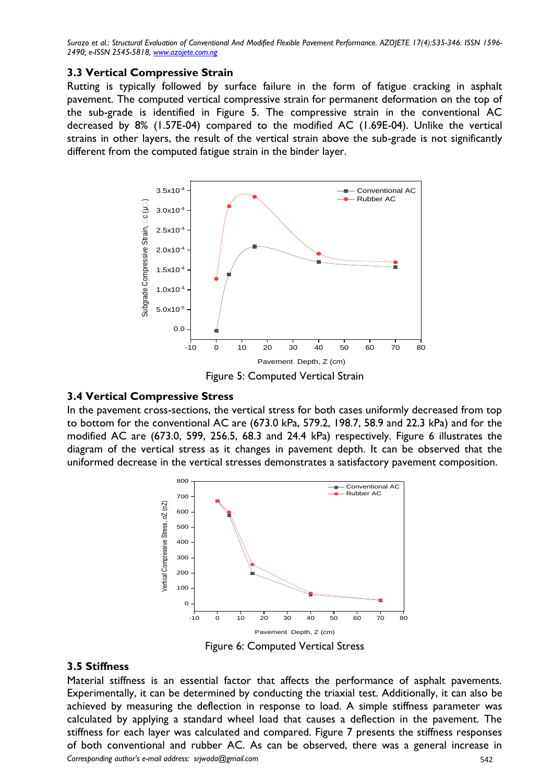#### **3.3 Vertical Compressive Strain**

Rutting is typically followed by surface failure in the form of fatigue cracking in asphalt pavement. The computed vertical compressive strain for permanent deformation on the top of the sub-grade is identified in Figure 5. The compressive strain in the conventional AC decreased by 8% (1.57E-04) compared to the modified AC (1.69E-04). Unlike the vertical strains in other layers, the result of the vertical strain above the sub-grade is not significantly different from the computed fatigue strain in the binder layer.



Figure 5: Computed Vertical Strain

#### **3.4 Vertical Compressive Stress**

In the pavement cross-sections, the vertical stress for both cases uniformly decreased from top to bottom for the conventional AC are (673.0 kPa, 579.2, 198.7, 58.9 and 22.3 kPa) and for the modified AC are (673.0, 599, 256.5, 68.3 and 24.4 kPa) respectively. Figure 6 illustrates the diagram of the vertical stress as it changes in pavement depth. It can be observed that the uniformed decrease in the vertical stresses demonstrates a satisfactory pavement composition.



#### **3.5 Stiffness**

*Corresponding author's e-mail address: srjwada@gmail.com* 542 Material stiffness is an essential factor that affects the performance of asphalt pavements. Experimentally, it can be determined by conducting the triaxial test. Additionally, it can also be achieved by measuring the deflection in response to load. A simple stiffness parameter was calculated by applying a standard wheel load that causes a deflection in the pavement. The stiffness for each layer was calculated and compared. Figure 7 presents the stiffness responses of both conventional and rubber AC. As can be observed, there was a general increase in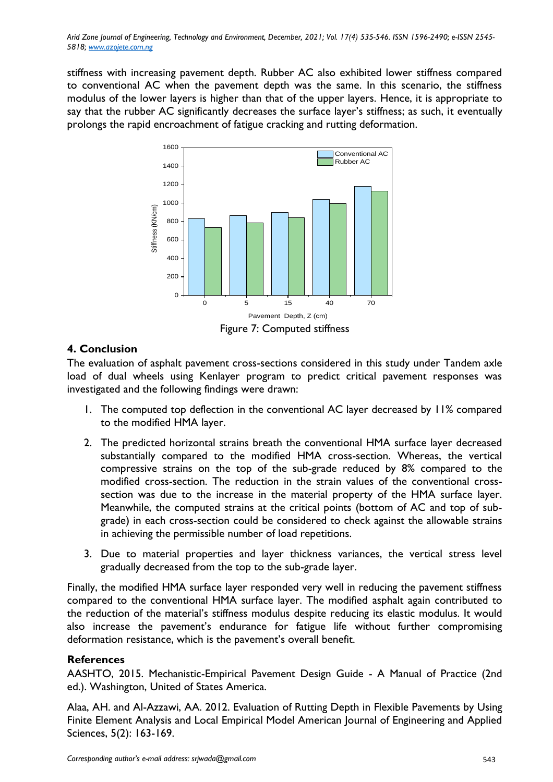stiffness with increasing pavement depth. Rubber AC also exhibited lower stiffness compared to conventional AC when the pavement depth was the same. In this scenario, the stiffness modulus of the lower layers is higher than that of the upper layers. Hence, it is appropriate to say that the rubber AC significantly decreases the surface layer's stiffness; as such, it eventually prolongs the rapid encroachment of fatigue cracking and rutting deformation.



Figure 7: Computed stiffness

# **4. Conclusion**

The evaluation of asphalt pavement cross-sections considered in this study under Tandem axle load of dual wheels using Kenlayer program to predict critical pavement responses was investigated and the following findings were drawn:

- 1. The computed top deflection in the conventional AC layer decreased by 11% compared to the modified HMA layer.
- 2. The predicted horizontal strains breath the conventional HMA surface layer decreased substantially compared to the modified HMA cross-section. Whereas, the vertical compressive strains on the top of the sub-grade reduced by 8% compared to the modified cross-section. The reduction in the strain values of the conventional crosssection was due to the increase in the material property of the HMA surface layer. Meanwhile, the computed strains at the critical points (bottom of AC and top of subgrade) in each cross-section could be considered to check against the allowable strains in achieving the permissible number of load repetitions.
- 3. Due to material properties and layer thickness variances, the vertical stress level gradually decreased from the top to the sub-grade layer.

Finally, the modified HMA surface layer responded very well in reducing the pavement stiffness compared to the conventional HMA surface layer. The modified asphalt again contributed to the reduction of the material's stiffness modulus despite reducing its elastic modulus. It would also increase the pavement's endurance for fatigue life without further compromising deformation resistance, which is the pavement's overall benefit.

# **References**

AASHTO, 2015. Mechanistic-Empirical Pavement Design Guide - A Manual of Practice (2nd ed.). Washington, United of States America.

Alaa, AH. and Al-Azzawi, AA. 2012. Evaluation of Rutting Depth in Flexible Pavements by Using Finite Element Analysis and Local Empirical Model American Journal of Engineering and Applied Sciences, 5(2): 163-169.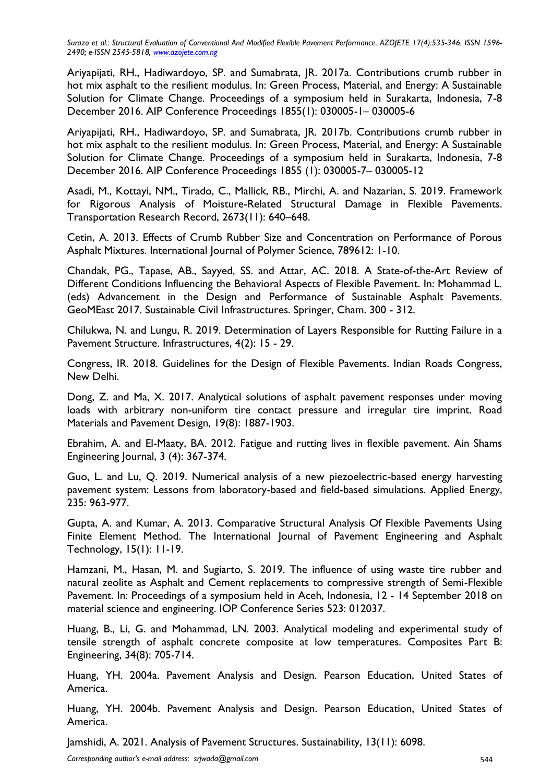Ariyapijati, RH., Hadiwardoyo, SP. and Sumabrata, JR. 2017a. Contributions crumb rubber in hot mix asphalt to the resilient modulus. In: Green Process, Material, and Energy: A Sustainable Solution for Climate Change. Proceedings of a symposium held in Surakarta, Indonesia, 7-8 December 2016. AIP Conference Proceedings 1855(1): 030005-1– 030005-6

Ariyapijati, RH., Hadiwardoyo, SP. and Sumabrata, JR. 2017b. Contributions crumb rubber in hot mix asphalt to the resilient modulus. In: Green Process, Material, and Energy: A Sustainable Solution for Climate Change. Proceedings of a symposium held in Surakarta, Indonesia, 7-8 December 2016. AIP Conference Proceedings 1855 (1): 030005-7– 030005-12

Asadi, M., Kottayi, NM., Tirado, C., Mallick, RB., Mirchi, A. and Nazarian, S. 2019. Framework for Rigorous Analysis of Moisture-Related Structural Damage in Flexible Pavements. Transportation Research Record, 2673(11): 640–648.

Cetin, A. 2013. Effects of Crumb Rubber Size and Concentration on Performance of Porous Asphalt Mixtures. International Journal of Polymer Science, 789612: 1-10.

Chandak, PG., Tapase, AB., Sayyed, SS. and Attar, AC. 2018. A State-of-the-Art Review of Different Conditions Influencing the Behavioral Aspects of Flexible Pavement. In: Mohammad L. (eds) Advancement in the Design and Performance of Sustainable Asphalt Pavements. GeoMEast 2017. Sustainable Civil Infrastructures. Springer, Cham. 300 - 312.

Chilukwa, N. and Lungu, R. 2019. Determination of Layers Responsible for Rutting Failure in a Pavement Structure. Infrastructures, 4(2): 15 - 29.

Congress, IR. 2018. Guidelines for the Design of Flexible Pavements. Indian Roads Congress, New Delhi.

Dong, Z. and Ma, X. 2017. Analytical solutions of asphalt pavement responses under moving loads with arbitrary non-uniform tire contact pressure and irregular tire imprint. Road Materials and Pavement Design, 19(8): 1887-1903.

Ebrahim, A. and El-Maaty, BA. 2012. Fatigue and rutting lives in flexible pavement. Ain Shams Engineering Journal, 3 (4): 367-374.

Guo, L. and Lu, Q. 2019. Numerical analysis of a new piezoelectric-based energy harvesting pavement system: Lessons from laboratory-based and field-based simulations. Applied Energy, 235: 963-977.

Gupta, A. and Kumar, A. 2013. Comparative Structural Analysis Of Flexible Pavements Using Finite Element Method. The International Journal of Pavement Engineering and Asphalt Technology, 15(1): 11-19.

Hamzani, M., Hasan, M. and Sugiarto, S. 2019. The influence of using waste tire rubber and natural zeolite as Asphalt and Cement replacements to compressive strength of Semi-Flexible Pavement. In: Proceedings of a symposium held in Aceh, Indonesia, 12 - 14 September 2018 on material science and engineering. IOP Conference Series 523: 012037.

Huang, B., Li, G. and Mohammad, LN. 2003. Analytical modeling and experimental study of tensile strength of asphalt concrete composite at low temperatures. Composites Part B: Engineering, 34(8): 705-714.

Huang, YH. 2004a. Pavement Analysis and Design. Pearson Education, United States of America.

Huang, YH. 2004b. Pavement Analysis and Design. Pearson Education, United States of America.

Jamshidi, A. 2021. Analysis of Pavement Structures. Sustainability, 13(11): 6098.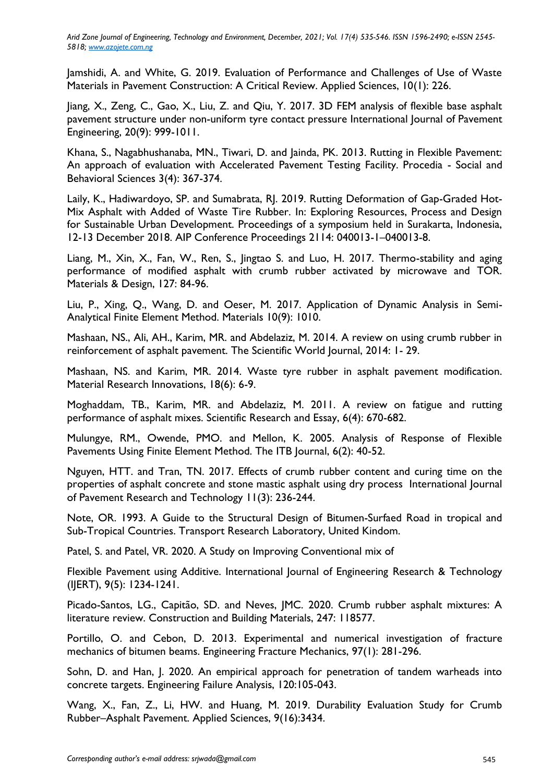Jamshidi, A. and White, G. 2019. Evaluation of Performance and Challenges of Use of Waste Materials in Pavement Construction: A Critical Review. Applied Sciences, 10(1): 226.

Jiang, X., Zeng, C., Gao, X., Liu, Z. and Qiu, Y. 2017. 3D FEM analysis of flexible base asphalt pavement structure under non-uniform tyre contact pressure International Journal of Pavement Engineering, 20(9): 999-1011.

Khana, S., Nagabhushanaba, MN., Tiwari, D. and Jainda, PK. 2013. Rutting in Flexible Pavement: An approach of evaluation with Accelerated Pavement Testing Facility. Procedia - Social and Behavioral Sciences 3(4): 367-374.

Laily, K., Hadiwardoyo, SP. and Sumabrata, RJ. 2019. Rutting Deformation of Gap-Graded Hot-Mix Asphalt with Added of Waste Tire Rubber. In: Exploring Resources, Process and Design for Sustainable Urban Development. Proceedings of a symposium held in Surakarta, Indonesia, 12-13 December 2018. AIP Conference Proceedings 2114: 040013-1–040013-8.

Liang, M., Xin, X., Fan, W., Ren, S., Jingtao S. and Luo, H. 2017. Thermo-stability and aging performance of modified asphalt with crumb rubber activated by microwave and TOR. Materials & Design, 127: 84-96.

Liu, P., Xing, Q., Wang, D. and Oeser, M. 2017. Application of Dynamic Analysis in Semi-Analytical Finite Element Method. Materials 10(9): 1010.

Mashaan, NS., Ali, AH., Karim, MR. and Abdelaziz, M. 2014. A review on using crumb rubber in reinforcement of asphalt pavement. The Scientific World Journal, 2014: 1- 29.

Mashaan, NS. and Karim, MR. 2014. Waste tyre rubber in asphalt pavement modification. Material Research Innovations, 18(6): 6-9.

Moghaddam, TB., Karim, MR. and Abdelaziz, M. 2011. A review on fatigue and rutting performance of asphalt mixes. Scientific Research and Essay, 6(4): 670-682.

Mulungye, RM., Owende, PMO. and Mellon, K. 2005. Analysis of Response of Flexible Pavements Using Finite Element Method. The ITB Journal, 6(2): 40-52.

Nguyen, HTT. and Tran, TN. 2017. Effects of crumb rubber content and curing time on the properties of asphalt concrete and stone mastic asphalt using dry process International Journal of Pavement Research and Technology 11(3): 236-244.

Note, OR. 1993. A Guide to the Structural Design of Bitumen-Surfaed Road in tropical and Sub-Tropical Countries. Transport Research Laboratory, United Kindom.

Patel, S. and Patel, VR. 2020. A Study on Improving Conventional mix of

Flexible Pavement using Additive. International Journal of Engineering Research & Technology (IJERT), 9(5): 1234-1241.

Picado-Santos, LG., Capitão, SD. and Neves, JMC. 2020. Crumb rubber asphalt mixtures: A literature review. Construction and Building Materials, 247: 118577.

Portillo, O. and Cebon, D. 2013. Experimental and numerical investigation of fracture mechanics of bitumen beams. Engineering Fracture Mechanics, 97(1): 281-296.

Sohn, D. and Han, J. 2020. An empirical approach for penetration of tandem warheads into concrete targets. Engineering Failure Analysis, 120:105-043.

Wang, X., Fan, Z., Li, HW. and Huang, M. 2019. Durability Evaluation Study for Crumb Rubber–Asphalt Pavement. Applied Sciences, 9(16):3434.